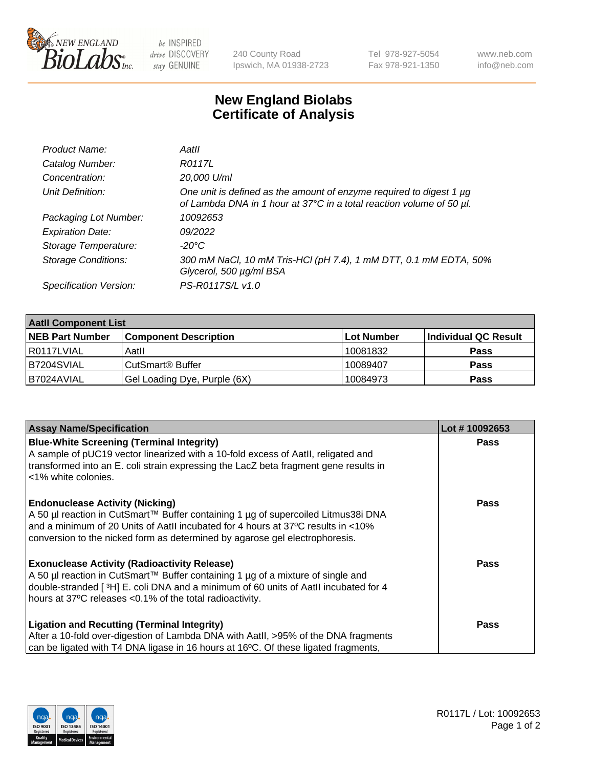

 $be$  INSPIRED drive DISCOVERY stay GENUINE

240 County Road Ipswich, MA 01938-2723 Tel 978-927-5054 Fax 978-921-1350 www.neb.com info@neb.com

## **New England Biolabs Certificate of Analysis**

| Product Name:              | Aatll                                                                                                                                       |
|----------------------------|---------------------------------------------------------------------------------------------------------------------------------------------|
| Catalog Number:            | R0117L                                                                                                                                      |
| Concentration:             | 20,000 U/ml                                                                                                                                 |
| Unit Definition:           | One unit is defined as the amount of enzyme required to digest 1 µg<br>of Lambda DNA in 1 hour at 37°C in a total reaction volume of 50 µl. |
| Packaging Lot Number:      | 10092653                                                                                                                                    |
| <b>Expiration Date:</b>    | 09/2022                                                                                                                                     |
| Storage Temperature:       | $-20^{\circ}$ C                                                                                                                             |
| <b>Storage Conditions:</b> | 300 mM NaCl, 10 mM Tris-HCl (pH 7.4), 1 mM DTT, 0.1 mM EDTA, 50%<br>Glycerol, 500 µg/ml BSA                                                 |
| Specification Version:     | PS-R0117S/L v1.0                                                                                                                            |

| <b>Aatll Component List</b> |                                    |                   |                      |  |  |
|-----------------------------|------------------------------------|-------------------|----------------------|--|--|
| <b>NEB Part Number</b>      | <b>Component Description</b>       | <b>Lot Number</b> | Individual QC Result |  |  |
| I R0117LVIAL                | Aatll                              | 10081832          | <b>Pass</b>          |  |  |
| B7204SVIAL                  | <b>CutSmart<sup>®</sup> Buffer</b> | 10089407          | <b>Pass</b>          |  |  |
| B7024AVIAL                  | Gel Loading Dye, Purple (6X)       | 10084973          | <b>Pass</b>          |  |  |

| <b>Assay Name/Specification</b>                                                                 | Lot #10092653 |
|-------------------------------------------------------------------------------------------------|---------------|
| <b>Blue-White Screening (Terminal Integrity)</b>                                                | <b>Pass</b>   |
| A sample of pUC19 vector linearized with a 10-fold excess of Aatll, religated and               |               |
| transformed into an E. coli strain expressing the LacZ beta fragment gene results in            |               |
| <1% white colonies.                                                                             |               |
| <b>Endonuclease Activity (Nicking)</b>                                                          | <b>Pass</b>   |
| A 50 µl reaction in CutSmart™ Buffer containing 1 µg of supercoiled Litmus38i DNA               |               |
| and a minimum of 20 Units of AatII incubated for 4 hours at 37°C results in <10%                |               |
| conversion to the nicked form as determined by agarose gel electrophoresis.                     |               |
| <b>Exonuclease Activity (Radioactivity Release)</b>                                             | Pass          |
| A 50 µl reaction in CutSmart™ Buffer containing 1 µg of a mixture of single and                 |               |
| double-stranded [3H] E. coli DNA and a minimum of 60 units of Aatll incubated for 4             |               |
| hours at 37°C releases <0.1% of the total radioactivity.                                        |               |
| <b>Ligation and Recutting (Terminal Integrity)</b>                                              | <b>Pass</b>   |
| After a 10-fold over-digestion of Lambda DNA with AatII, >95% of the DNA fragments              |               |
| can be ligated with T4 DNA ligase in 16 hours at 16 <sup>o</sup> C. Of these ligated fragments, |               |